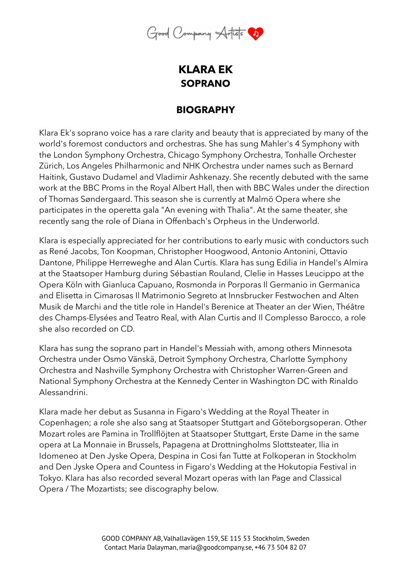

## **KLARA EK SOPRANO**

## **BIOGRAPHY**

Klara Ek's soprano voice has a rare clarity and beauty that is appreciated by many of the world's foremost conductors and orchestras. She has sung Mahler's 4 Symphony with the London Symphony Orchestra, Chicago Symphony Orchestra, Tonhalle Orchester Zürich, Los Angeles Philharmonic and NHK Orchestra under names such as Bernard Haitink, Gustavo Dudamel and Vladimir Ashkenazy. She recently debuted with the same work at the BBC Proms in the Royal Albert Hall, then with BBC Wales under the direction of Thomas Søndergaard. This season she is currently at Malmö Opera where she participates in the operetta gala "An evening with Thalia". At the same theater, she recently sang the role of Diana in Offenbach's Orpheus in the Underworld.

Klara is especially appreciated for her contributions to early music with conductors such as René Jacobs, Ton Koopman, Christopher Hoogwood, Antonio Antonini, Ottavio Dantone, Philippe Herreweghe and Alan Curtis. Klara has sung Edilia in Handel's Almira at the Staatsoper Hamburg during Sébastian Rouland, Clelie in Hasses Leucippo at the Opera Köln with Gianluca Capuano, Rosmonda in Porporas Il Germanio in Germanica and Elisetta in Cimarosas Il Matrimonio Segreto at Innsbrucker Festwochen and Alten Musik de Marchi and the title role in Handel's Berenice at Theater an der Wien, Théâtre des Champs-Elysées and Teatro Real, with Alan Curtis and Il Complesso Barocco, a role she also recorded on CD.

Klara has sung the soprano part in Handel's Messiah with, among others Minnesota Orchestra under Osmo Vänskä, Detroit Symphony Orchestra, Charlotte Symphony Orchestra and Nashville Symphony Orchestra with Christopher Warren-Green and National Symphony Orchestra at the Kennedy Center in Washington DC with Rinaldo Alessandrini.

Klara made her debut as Susanna in Figaro's Wedding at the Royal Theater in Copenhagen; a role she also sang at Staatsoper Stuttgart and Göteborgsoperan. Other Mozart roles are Pamina in Trollflöjten at Staatsoper Stuttgart, Erste Dame in the same opera at La Monnaie in Brussels, Papagena at Drottningholms Slottsteater, Ilia in Idomeneo at Den Jyske Opera, Despina in Cosi fan Tutte at Folkoperan in Stockholm and Den Jyske Opera and Countess in Figaro's Wedding at the Hokutopia Festival in Tokyo. Klara has also recorded several Mozart operas with Ian Page and Classical Opera / The Mozartists; see discography below.